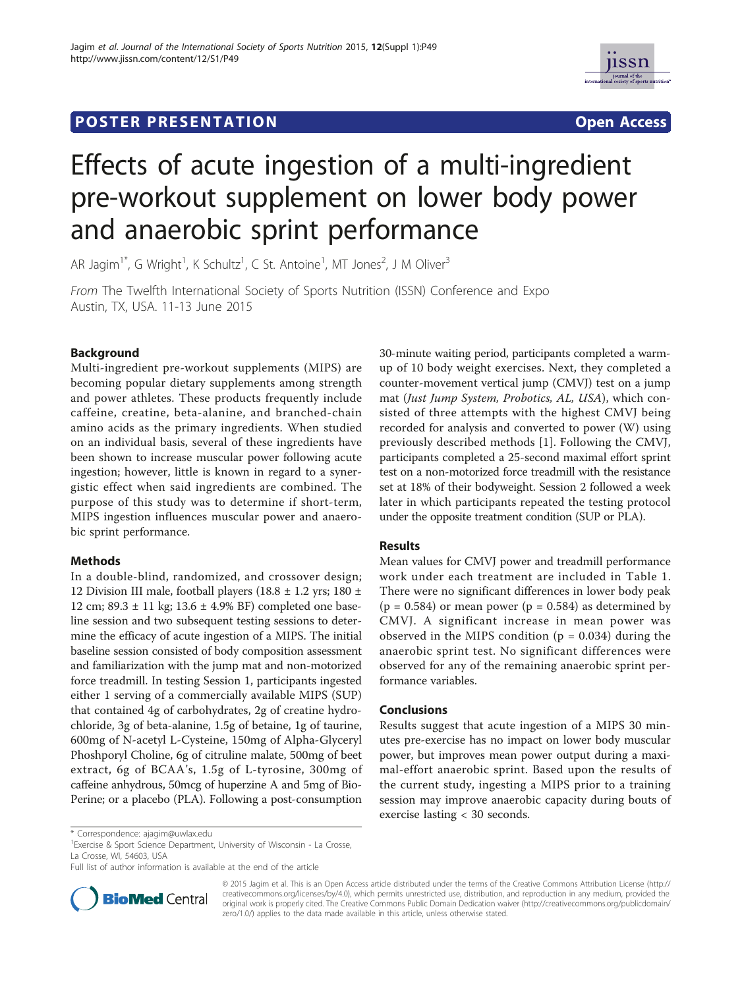## **POSTER PRESENTATION CONSUMING THE SERVICE SERVICE SERVICES**



# Effects of acute ingestion of a multi-ingredient pre-workout supplement on lower body power and anaerobic sprint performance

AR Jagim<sup>1\*</sup>, G Wright<sup>1</sup>, K Schultz<sup>1</sup>, C St. Antoine<sup>1</sup>, MT Jones<sup>2</sup>, J M Oliver<sup>3</sup>

From The Twelfth International Society of Sports Nutrition (ISSN) Conference and Expo Austin, TX, USA. 11-13 June 2015

## Background

Multi-ingredient pre-workout supplements (MIPS) are becoming popular dietary supplements among strength and power athletes. These products frequently include caffeine, creatine, beta-alanine, and branched-chain amino acids as the primary ingredients. When studied on an individual basis, several of these ingredients have been shown to increase muscular power following acute ingestion; however, little is known in regard to a synergistic effect when said ingredients are combined. The purpose of this study was to determine if short-term, MIPS ingestion influences muscular power and anaerobic sprint performance.

## Methods

In a double-blind, randomized, and crossover design; 12 Division III male, football players (18.8  $\pm$  1.2 yrs; 180  $\pm$ 12 cm; 89.3 ± 11 kg; 13.6 ± 4.9% BF) completed one baseline session and two subsequent testing sessions to determine the efficacy of acute ingestion of a MIPS. The initial baseline session consisted of body composition assessment and familiarization with the jump mat and non-motorized force treadmill. In testing Session 1, participants ingested either 1 serving of a commercially available MIPS (SUP) that contained 4g of carbohydrates, 2g of creatine hydrochloride, 3g of beta-alanine, 1.5g of betaine, 1g of taurine, 600mg of N-acetyl L-Cysteine, 150mg of Alpha-Glyceryl Phoshporyl Choline, 6g of citruline malate, 500mg of beet extract, 6g of BCAA's, 1.5g of L-tyrosine, 300mg of caffeine anhydrous, 50mcg of huperzine A and 5mg of Bio-Perine; or a placebo (PLA). Following a post-consumption

30-minute waiting period, participants completed a warmup of 10 body weight exercises. Next, they completed a counter-movement vertical jump (CMVJ) test on a jump mat (Just Jump System, Probotics, AL, USA), which consisted of three attempts with the highest CMVJ being recorded for analysis and converted to power (W) using previously described methods [1]. Following the CMVJ, participants completed a 25-second maximal effort sprint test on a non-motorized force treadmill with the resistance set at 18% of their bodyweight. Session 2 followed a week later in which participants repeated the testing protocol under the opposite treatment condition (SUP or PLA).

## Results

Mean values for CMVJ power and treadmill performance work under each treatment are included in Table 1. There were no significant differences in lower body peak  $(p = 0.584)$  or mean power  $(p = 0.584)$  as determined by CMVJ. A significant increase in mean power was observed in the MIPS condition ( $p = 0.034$ ) during the anaerobic sprint test. No significant differences were observed for any of the remaining anaerobic sprint performance variables.

## Conclusions

Results suggest that acute ingestion of a MIPS 30 minutes pre-exercise has no impact on lower body muscular power, but improves mean power output during a maximal-effort anaerobic sprint. Based upon the results of the current study, ingesting a MIPS prior to a training session may improve anaerobic capacity during bouts of exercise lasting < 30 seconds.

<sup>1</sup> Exercise & Sport Science Department, University of Wisconsin - La Crosse, La Crosse, WI, 54603, USA

Full list of author information is available at the end of the article



© 2015 Jagim et al. This is an Open Access article distributed under the terms of the Creative Commons Attribution License (http:// creativecommons.org/licenses/by/4.0), which permits unrestricted use, distribution, and reproduction in any medium, provided the original work is properly cited. The Creative Commons Public Domain Dedication waiver (http://creativecommons.org/publicdomain/ zero/1.0/) applies to the data made available in this article, unless otherwise stated.

<sup>\*</sup> Correspondence: ajagim@uwlax.edu